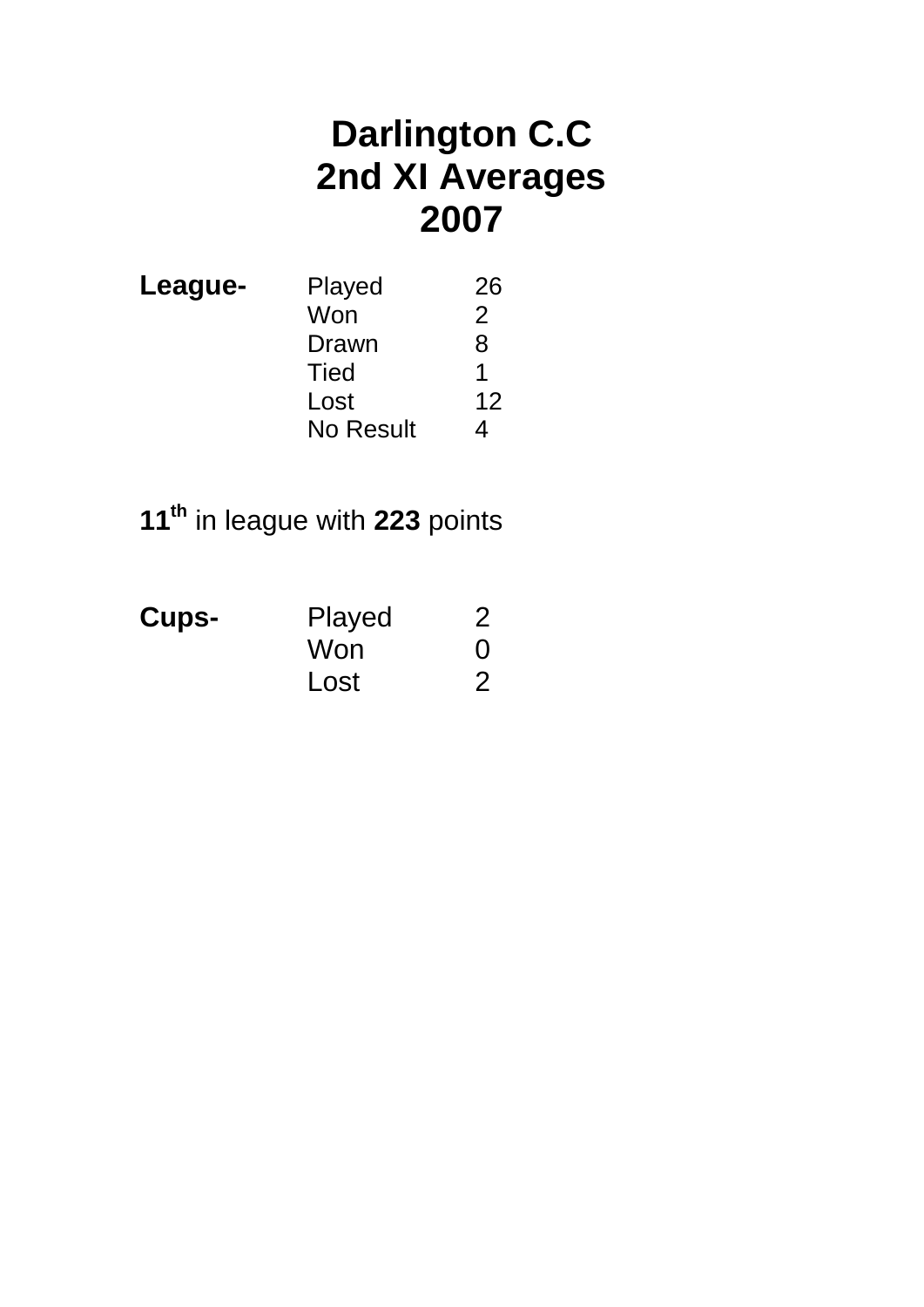## **Darlington C.C 2nd XI Averages 2007**

| League- | Played           | 26 |
|---------|------------------|----|
|         | Won              | 2  |
|         | Drawn            | 8  |
|         | Tied             |    |
|         | Lost             | 12 |
|         | <b>No Result</b> |    |

# **11th** in league with **223** points

| <b>Cups-</b> | Played | 2        |
|--------------|--------|----------|
|              | Won    | $\Omega$ |
|              | Lost   | 2        |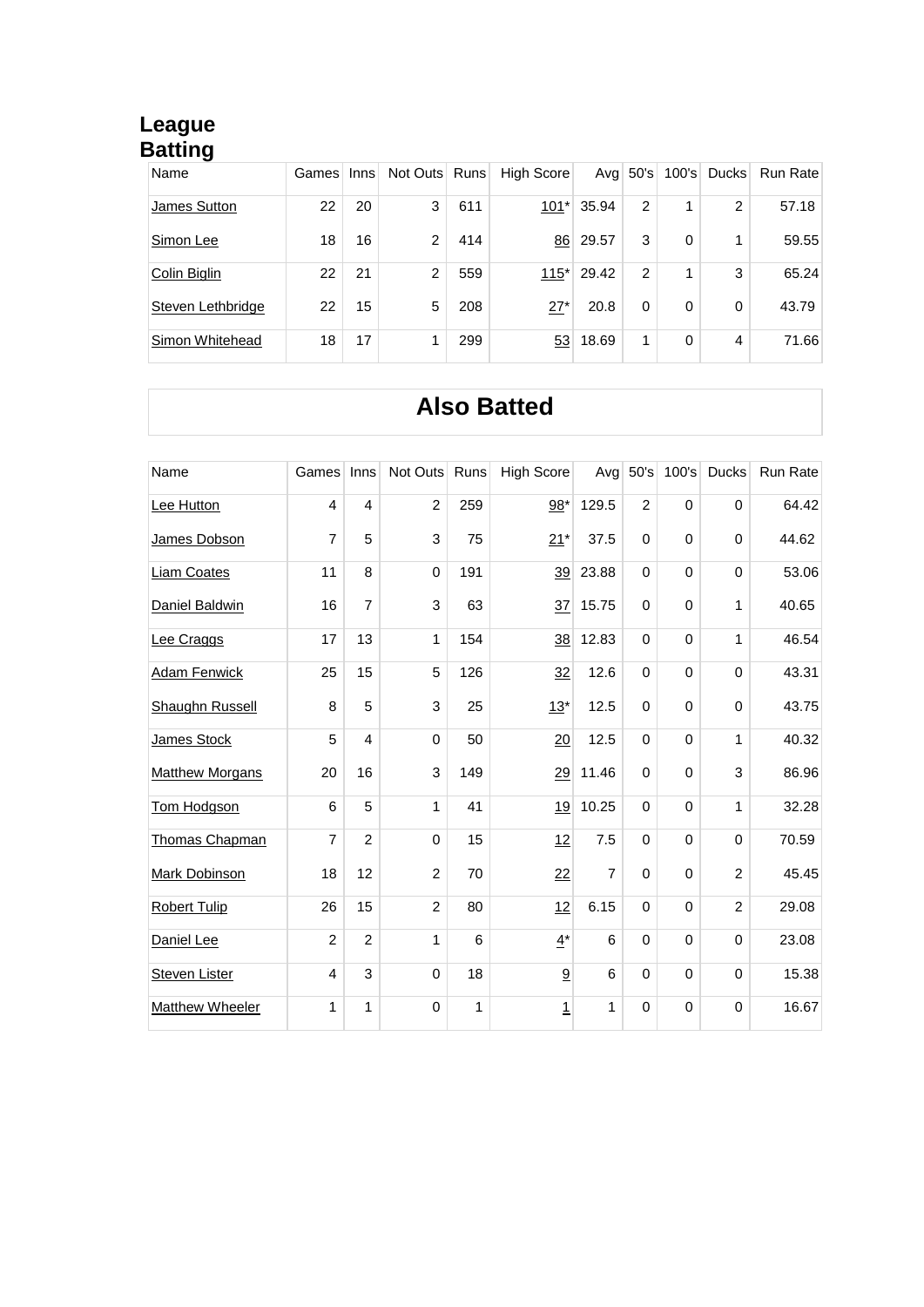#### **League Batting**

| Name              | Games | Inns | Not Outs Runs |     | High Score |       | Avg $50$ 's    |   | 100's Ducks | Run Rate |
|-------------------|-------|------|---------------|-----|------------|-------|----------------|---|-------------|----------|
| James Sutton      | 22    | 20   | 3             | 611 | $101*$     | 35.94 | $\overline{2}$ |   | 2           | 57.18    |
| Simon Lee         | 18    | 16   | $\mathcal{P}$ | 414 | 86         | 29.57 | 3              | 0 |             | 59.55    |
| Colin Biglin      | 22    | 21   | 2             | 559 | $115*$     | 29.42 | $\overline{2}$ |   | 3           | 65.24    |
| Steven Lethbridge | 22    | 15   | 5             | 208 | $27*$      | 20.8  | $\Omega$       | 0 | $\Omega$    | 43.79    |
| Simon Whitehead   | 18    | 17   |               | 299 | 53         | 18.69 | 1              | 0 | 4           | 71.66    |

## **Also Batted**

| Name                   | Games                   | Inns           | Not Outs Runs  |     | <b>High Score</b> | Avg            | 50's           |             | 100's Ducks    | Run Rate |
|------------------------|-------------------------|----------------|----------------|-----|-------------------|----------------|----------------|-------------|----------------|----------|
| Lee Hutton             | $\overline{\mathbf{4}}$ | 4              | $\overline{c}$ | 259 | $98*$             | 129.5          | $\overline{c}$ | $\mathbf 0$ | $\mathbf 0$    | 64.42    |
| James Dobson           | $\overline{7}$          | 5              | 3              | 75  | $21*$             | 37.5           | $\Omega$       | $\mathbf 0$ | $\mathbf 0$    | 44.62    |
| <b>Liam Coates</b>     | 11                      | 8              | $\mathbf 0$    | 191 | 39                | 23.88          | 0              | 0           | $\mathbf 0$    | 53.06    |
| Daniel Baldwin         | 16                      | $\overline{7}$ | 3              | 63  | 37                | 15.75          | $\Omega$       | $\mathbf 0$ | 1              | 40.65    |
| Lee Craggs             | 17                      | 13             | 1              | 154 | 38                | 12.83          | 0              | 0           | 1              | 46.54    |
| <b>Adam Fenwick</b>    | 25                      | 15             | 5              | 126 | 32                | 12.6           | $\Omega$       | $\mathbf 0$ | $\mathbf 0$    | 43.31    |
| <b>Shaughn Russell</b> | 8                       | 5              | 3              | 25  | $13*$             | 12.5           | 0              | $\mathbf 0$ | $\mathbf 0$    | 43.75    |
| James Stock            | 5                       | $\overline{4}$ | $\mathbf 0$    | 50  | 20                | 12.5           | $\Omega$       | $\mathbf 0$ | 1              | 40.32    |
| <b>Matthew Morgans</b> | 20                      | 16             | 3              | 149 | 29                | 11.46          | $\Omega$       | $\mathbf 0$ | 3              | 86.96    |
| Tom Hodgson            | 6                       | 5              | 1              | 41  | 19                | 10.25          | $\Omega$       | $\mathbf 0$ | 1              | 32.28    |
| Thomas Chapman         | $\overline{7}$          | $\overline{c}$ | $\pmb{0}$      | 15  | 12                | 7.5            | 0              | $\mathbf 0$ | $\mathbf 0$    | 70.59    |
| Mark Dobinson          | 18                      | 12             | $\overline{2}$ | 70  | 22                | $\overline{7}$ | $\Omega$       | $\mathbf 0$ | $\overline{2}$ | 45.45    |
| <b>Robert Tulip</b>    | 26                      | 15             | $\overline{2}$ | 80  | 12                | 6.15           | $\Omega$       | $\mathbf 0$ | 2              | 29.08    |
| Daniel Lee             | $\overline{c}$          | $\overline{2}$ | 1              | 6   | $4^*$             | 6              | $\Omega$       | $\Omega$    | $\Omega$       | 23.08    |
| <b>Steven Lister</b>   | 4                       | 3              | $\pmb{0}$      | 18  | 9                 | 6              | 0              | 0           | $\mathbf 0$    | 15.38    |
| <b>Matthew Wheeler</b> | 1                       | 1              | $\mathbf 0$    | 1   | <u>1</u>          | 1              | 0              | $\mathbf 0$ | $\mathbf 0$    | 16.67    |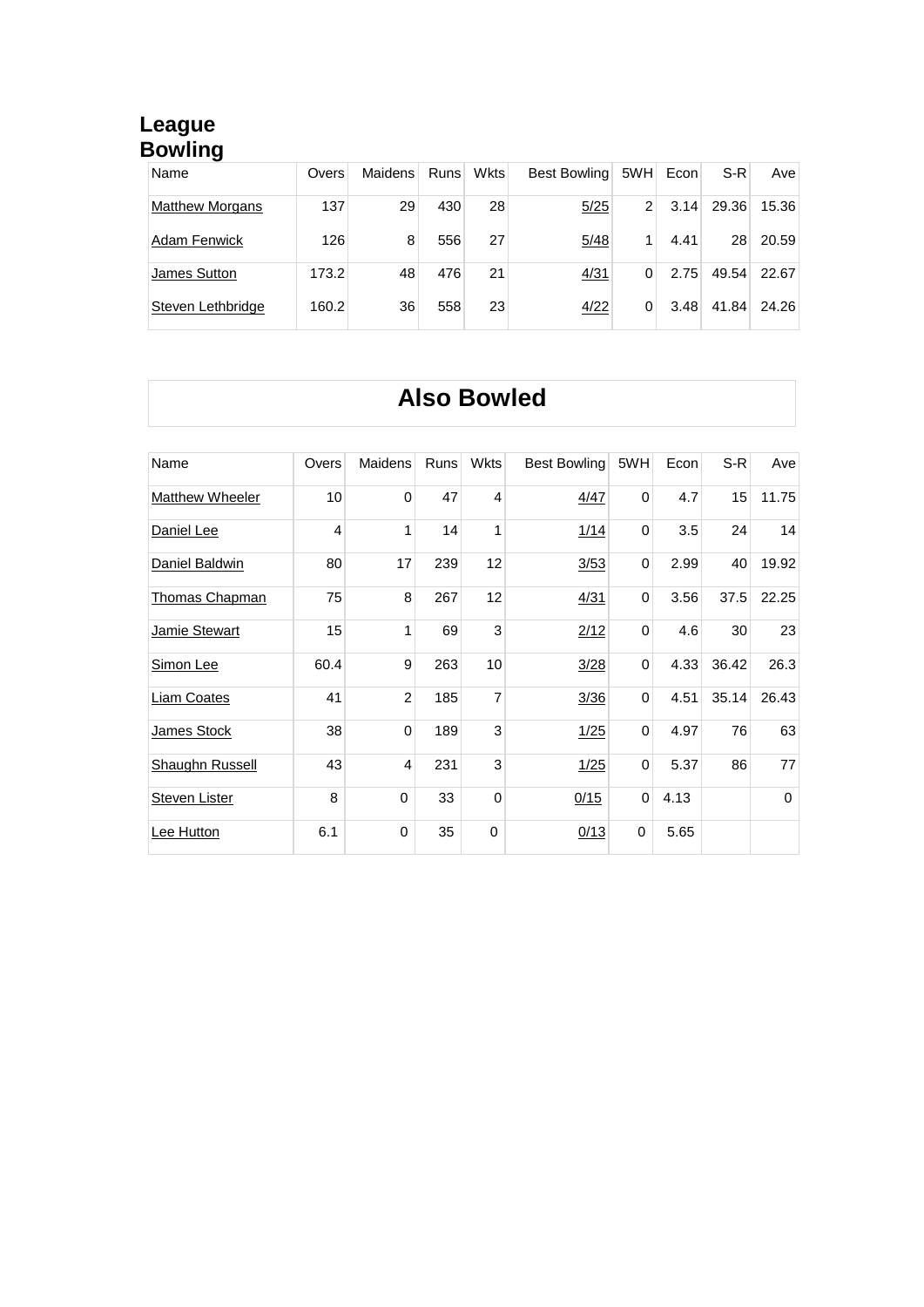#### **League Bowling**

| Name                   | Overs | Maidens | Runs | <b>Wkts</b> | Best Bowling | 5WH            | Econ | S-R   | Avel  |
|------------------------|-------|---------|------|-------------|--------------|----------------|------|-------|-------|
| <b>Matthew Morgans</b> | 137   | 29      | 430  | 28          | 5/25         | $\overline{2}$ | 3.14 | 29.36 | 15.36 |
| <b>Adam Fenwick</b>    | 126   | 8       | 556  | 27          | 5/48         |                | 4.41 | 28    | 20.59 |
| James Sutton           | 173.2 | 48      | 476  | 21          | 4/31         | 0              | 2.75 | 49.54 | 22.67 |
| Steven Lethbridge      | 160.2 | 36      | 558  | 23          | 4/22         | 0              | 3.48 | 41.84 | 24.26 |

### **Also Bowled**

| Name                   | Overs          | <b>Maidens</b> | <b>Runs</b> | <b>Wkts</b>    | Best Bowling | 5WH      | Econ | S-R   | Ave         |
|------------------------|----------------|----------------|-------------|----------------|--------------|----------|------|-------|-------------|
| <b>Matthew Wheeler</b> | 10             | $\mathbf{0}$   | 47          | $\overline{4}$ | 4/47         | $\Omega$ | 4.7  | 15    | 11.75       |
| Daniel Lee             | $\overline{4}$ | 1              | 14          | 1              | 1/14         | $\Omega$ | 3.5  | 24    | 14          |
| Daniel Baldwin         | 80             | 17             | 239         | 12             | 3/53         | 0        | 2.99 | 40    | 19.92       |
| <b>Thomas Chapman</b>  | 75             | 8              | 267         | 12             | 4/31         | 0        | 3.56 | 37.5  | 22.25       |
| Jamie Stewart          | 15             | 1              | 69          | 3              | 2/12         | 0        | 4.6  | 30    | 23          |
| Simon Lee              | 60.4           | 9              | 263         | 10             | 3/28         | 0        | 4.33 | 36.42 | 26.3        |
| Liam Coates            | 41             | $\overline{2}$ | 185         | $\overline{7}$ | 3/36         | $\Omega$ | 4.51 | 35.14 | 26.43       |
| James Stock            | 38             | $\mathbf 0$    | 189         | 3              | 1/25         | 0        | 4.97 | 76    | 63          |
| <b>Shaughn Russell</b> | 43             | $\overline{4}$ | 231         | 3              | 1/25         | 0        | 5.37 | 86    | 77          |
| <b>Steven Lister</b>   | 8              | $\mathbf 0$    | 33          | $\mathbf 0$    | 0/15         | 0        | 4.13 |       | $\mathbf 0$ |
| Lee Hutton             | 6.1            | $\Omega$       | 35          | $\Omega$       | 0/13         | $\Omega$ | 5.65 |       |             |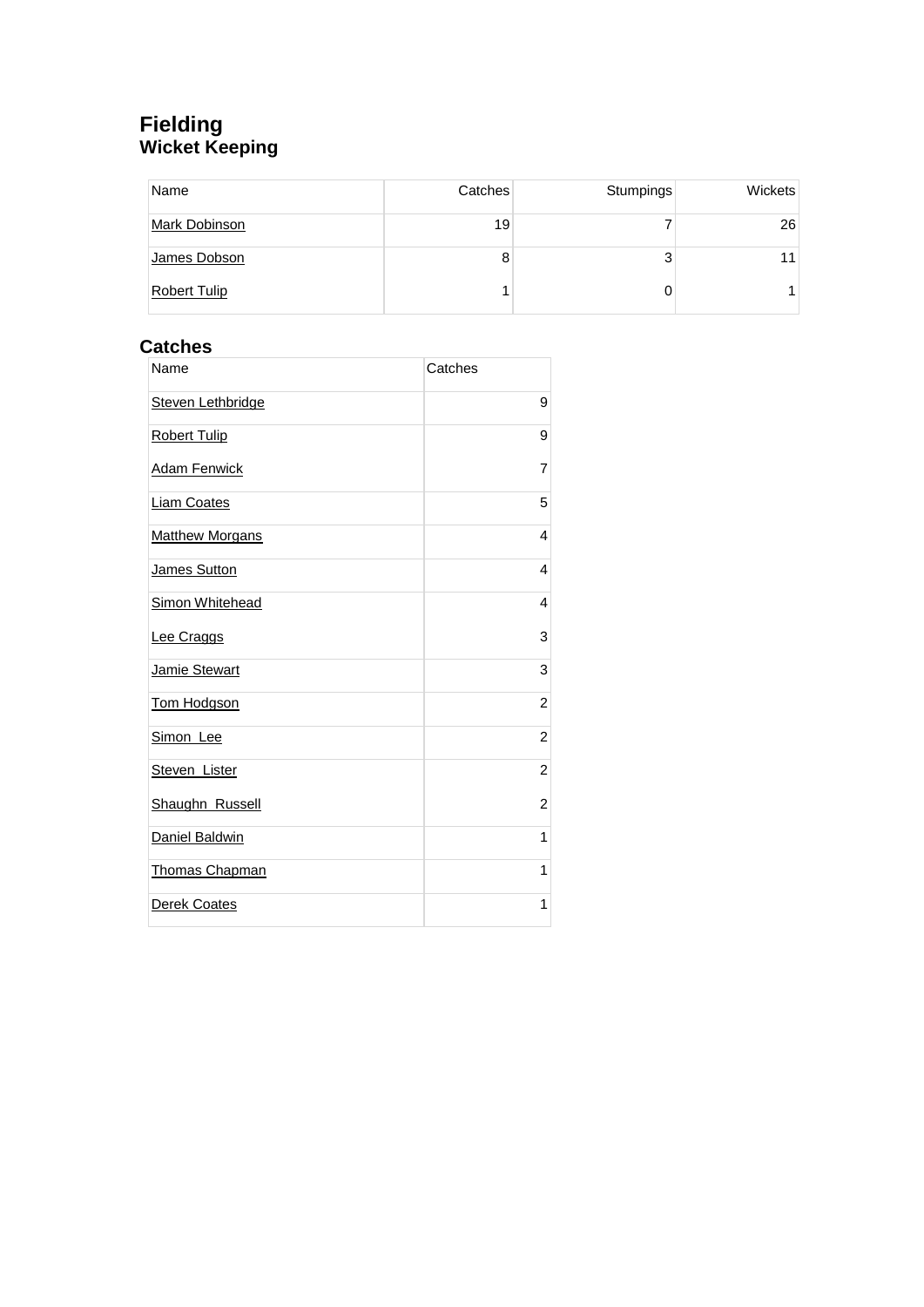#### **Fielding Wicket Keeping**

| Name                 | Catches | Stumpings | Wickets |
|----------------------|---------|-----------|---------|
| <b>Mark Dobinson</b> | 19      |           | 26      |
| James Dobson         | 8       | 3         | 11      |
| <b>Robert Tulip</b>  |         |           |         |

#### **Catches**

| Name                     | Catches        |
|--------------------------|----------------|
| <b>Steven Lethbridge</b> | 9              |
| <b>Robert Tulip</b>      | 9              |
| <b>Adam Fenwick</b>      | $\overline{7}$ |
| <b>Liam Coates</b>       | 5              |
| <b>Matthew Morgans</b>   | 4              |
| James Sutton             | $\overline{4}$ |
| <b>Simon Whitehead</b>   | 4              |
| Lee Craggs               | 3              |
| Jamie Stewart            | 3              |
| Tom Hodgson              | $\overline{c}$ |
| Simon Lee                | $\overline{c}$ |
| Steven Lister            | $\overline{c}$ |
| Shaughn Russell          | $\overline{c}$ |
| Daniel Baldwin           | 1              |
| Thomas Chapman           | 1              |
| Derek Coates             | 1              |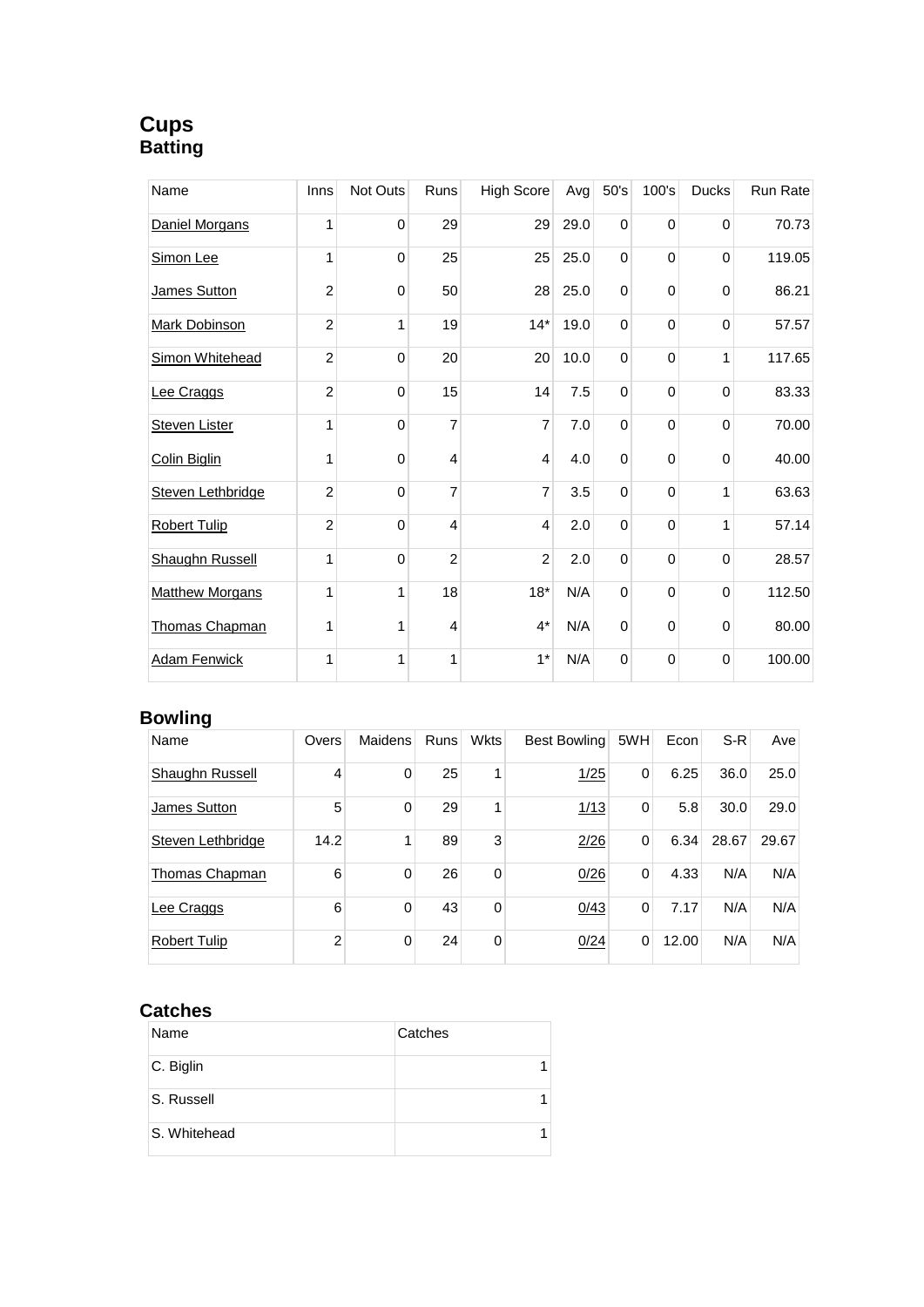#### **Cups Batting**

| Name                   | Inns           | Not Outs    | Runs           | <b>High Score</b> | Avg  | 50's         | 100's       | <b>Ducks</b> | Run Rate |
|------------------------|----------------|-------------|----------------|-------------------|------|--------------|-------------|--------------|----------|
| Daniel Morgans         | 1              | 0           | 29             | 29                | 29.0 | $\mathbf 0$  | 0           | $\mathbf 0$  | 70.73    |
| Simon Lee              | 1              | 0           | 25             | 25                | 25.0 | $\mathbf{0}$ | $\mathbf 0$ | $\Omega$     | 119.05   |
| James Sutton           | 2              | 0           | 50             | 28                | 25.0 | $\mathbf 0$  | 0           | 0            | 86.21    |
| Mark Dobinson          | $\overline{2}$ | 1           | 19             | $14*$             | 19.0 | $\mathbf 0$  | $\mathbf 0$ | $\mathbf 0$  | 57.57    |
| Simon Whitehead        | $\overline{c}$ | 0           | 20             | 20                | 10.0 | $\Omega$     | 0           | 1            | 117.65   |
| Lee Craggs             | $\overline{2}$ | $\mathbf 0$ | 15             | 14                | 7.5  | $\mathbf 0$  | $\mathbf 0$ | $\mathbf 0$  | 83.33    |
| <b>Steven Lister</b>   | 1              | $\mathbf 0$ | $\overline{7}$ | $\overline{7}$    | 7.0  | $\mathbf 0$  | 0           | 0            | 70.00    |
| Colin Biglin           | 1              | $\mathbf 0$ | $\overline{4}$ | $\overline{4}$    | 4.0  | $\mathbf 0$  | $\mathbf 0$ | $\mathbf 0$  | 40.00    |
| Steven Lethbridge      | 2              | $\mathbf 0$ | $\overline{7}$ | $\overline{7}$    | 3.5  | $\mathbf 0$  | 0           | 1            | 63.63    |
| <b>Robert Tulip</b>    | $\overline{2}$ | $\mathbf 0$ | $\overline{4}$ | $\overline{4}$    | 2.0  | $\mathbf 0$  | $\Omega$    | 1            | 57.14    |
| <b>Shaughn Russell</b> | 1              | $\mathbf 0$ | $\overline{c}$ | $\overline{2}$    | 2.0  | $\mathbf 0$  | 0           | 0            | 28.57    |
| <b>Matthew Morgans</b> | 1              | 1           | 18             | $18*$             | N/A  | $\mathbf 0$  | $\mathbf 0$ | 0            | 112.50   |
| Thomas Chapman         | 1              | 1           | 4              | $4^*$             | N/A  | $\mathbf 0$  | 0           | $\mathbf 0$  | 80.00    |
| <b>Adam Fenwick</b>    | 1              | 1           | 1              | $1*$              | N/A  | $\mathbf 0$  | 0           | $\Omega$     | 100.00   |

#### **Bowling**

| Name                | Overs | Maidens | <b>Runs</b> | <b>Wkts</b> | Best Bowling | 5WH      | Econ  | S-R   | Ave   |
|---------------------|-------|---------|-------------|-------------|--------------|----------|-------|-------|-------|
| Shaughn Russell     | 4     | 0       | 25          |             | 1/25         | 0        | 6.25  | 36.0  | 25.0  |
| James Sutton        | 5     | 0       | 29          | 4           | 1/13         | 0        | 5.8   | 30.0  | 29.0  |
| Steven Lethbridge   | 14.2  |         | 89          | 3           | 2/26         | 0        | 6.34  | 28.67 | 29.67 |
| Thomas Chapman      | 6     | 0       | 26          | 0           | 0/26         | $\Omega$ | 4.33  | N/A   | N/A   |
| Lee Craggs          | 6     | 0       | 43          | 0           | 0/43         | $\Omega$ | 7.17  | N/A   | N/A   |
| <b>Robert Tulip</b> | 2     | 0       | 24          | $\Omega$    | 0/24         | 0        | 12.00 | N/A   | N/A   |

#### **Catches**

| Name         | Catches |
|--------------|---------|
| C. Biglin    |         |
| S. Russell   |         |
| S. Whitehead |         |